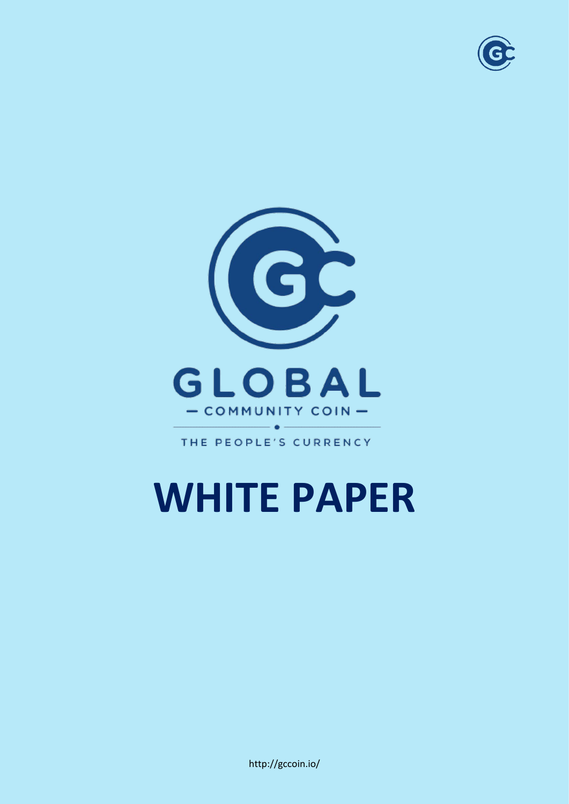



THE PEOPLE'S CURRENCY

### **WHITE PAPER**

http://gccoin.io/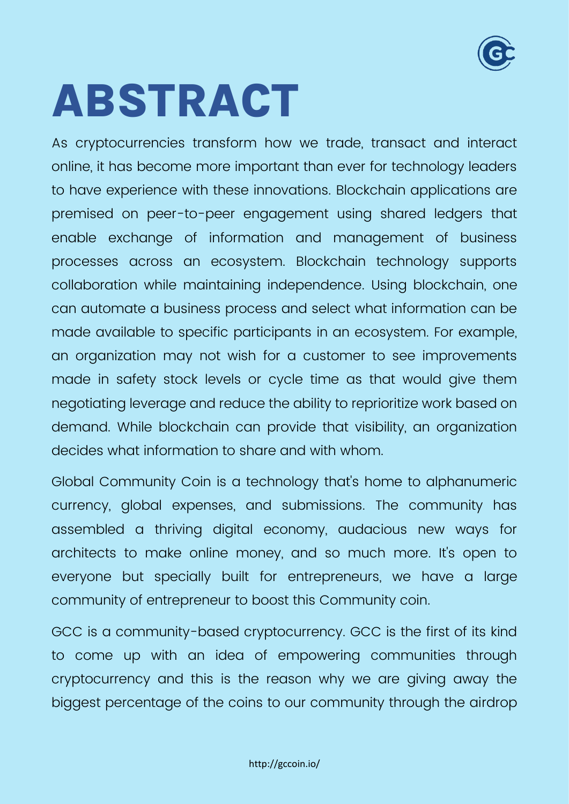

## <span id="page-1-0"></span>**ABSTRACT**

As cryptocurrencies transform how we trade, transact and interact online, it has become more important than ever for technology leaders to have experience with these innovations. Blockchain applications are premised on peer-to-peer engagement using shared ledgers that enable exchange of information and management of business processes across an ecosystem. Blockchain technology supports collaboration while maintaining independence. Using blockchain, one can automate a business process and select what information can be made available to specific participants in an ecosystem. For example, an organization may not wish for a customer to see improvements made in safety stock levels or cycle time as that would give them negotiating leverage and reduce the ability to reprioritize work based on demand. While blockchain can provide that visibility, an organization decides what information to share and with whom.

Global Community Coin is a technology that's home to alphanumeric currency, global expenses, and submissions. The community has assembled a thriving digital economy, audacious new ways for architects to make online money, and so much more. It's open to everyone but specially built for entrepreneurs, we have a large community of entrepreneur to boost this Community coin.

GCC is a community-based cryptocurrency. GCC is the first of its kind to come up with an idea of empowering communities through cryptocurrency and this is the reason why we are giving away the biggest percentage of the coins to our community through the airdrop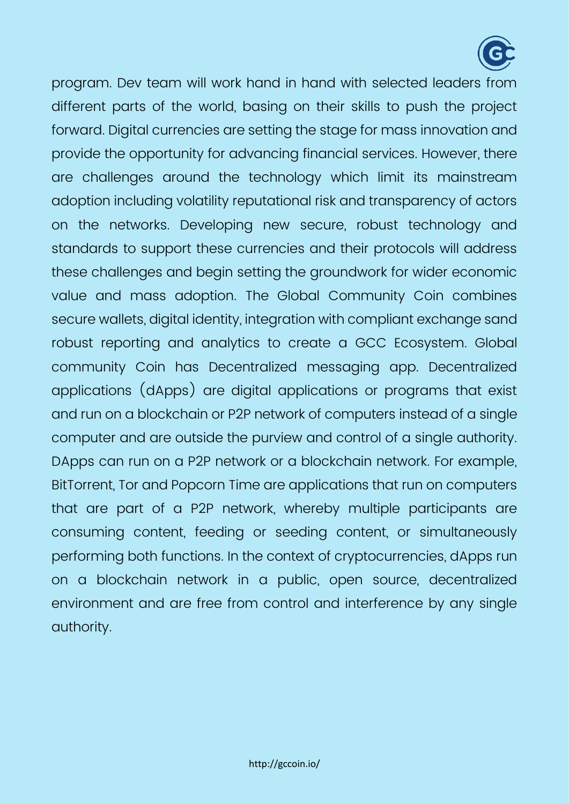

program. Dev team will work hand in hand with selected leaders from different parts of the world, basing on their skills to push the project forward. Digital currencies are setting the stage for mass innovation and provide the opportunity for advancing financial services. However, there are challenges around the technology which limit its mainstream adoption including volatility reputational risk and transparency of actors on the networks. Developing new secure, robust technology and standards to support these currencies and their protocols will address these challenges and begin setting the groundwork for wider economic value and mass adoption. The Global Community Coin combines secure wallets, digital identity, integration with compliant exchange sand robust reporting and analytics to create a GCC Ecosystem. Global community Coin has Decentralized messaging app. Decentralized applications (dApps) are digital applications or programs that exist and run on a blockchain or P2P network of computers instead of a single computer and are outside the purview and control of a single authority. DApps can run on a P2P network or a blockchain network. For example, BitTorrent, Tor and Popcorn Time are applications that run on computers that are part of a P2P network, whereby multiple participants are consuming content, feeding or seeding content, or simultaneously performing both functions. In the context of cryptocurrencies, dApps run on a blockchain network in a public, open source, decentralized environment and are free from control and interference by any single authority.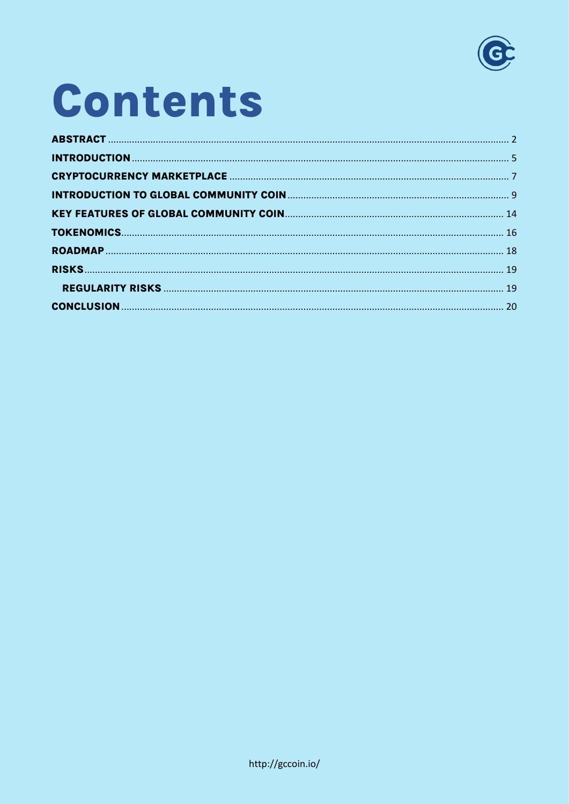

### Contents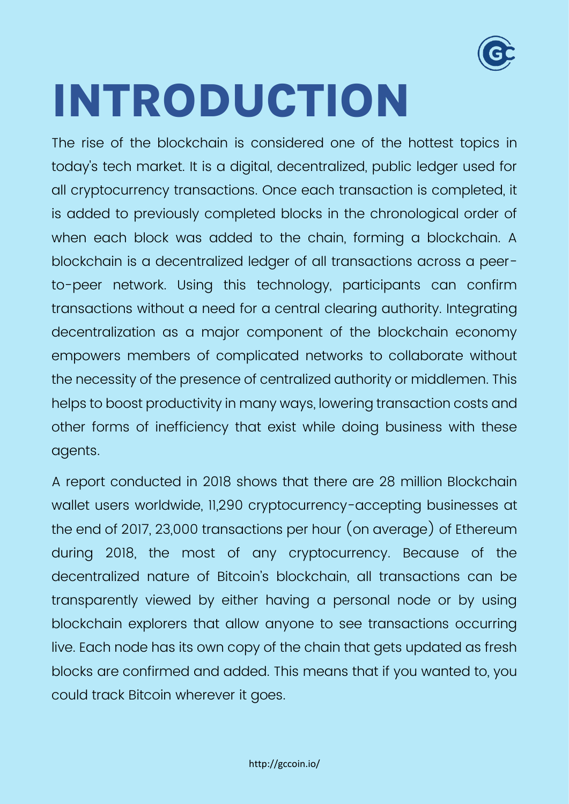

## <span id="page-4-0"></span>**INTRODUCTION**

The rise of the blockchain is considered one of the hottest topics in today's tech market. It is a digital, decentralized, public ledger used for all cryptocurrency transactions. Once each transaction is completed, it is added to previously completed blocks in the chronological order of when each block was added to the chain, forming a blockchain. A blockchain is a decentralized ledger of all transactions across a peerto-peer network. Using this technology, participants can confirm transactions without a need for a central clearing authority. Integrating decentralization as a major component of the blockchain economy empowers members of complicated networks to collaborate without the necessity of the presence of centralized authority or middlemen. This helps to boost productivity in many ways, lowering transaction costs and other forms of inefficiency that exist while doing business with these agents.

A report conducted in 2018 shows that there are 28 million Blockchain wallet users worldwide, 11,290 cryptocurrency-accepting businesses at the end of 2017, 23,000 transactions per hour (on average) of Ethereum during 2018, the most of any cryptocurrency. Because of the decentralized nature of Bitcoin's blockchain, all transactions can be transparently viewed by either having a personal node or by using blockchain explorers that allow anyone to see transactions occurring live. Each node has its own copy of the chain that gets updated as fresh blocks are confirmed and added. This means that if you wanted to, you could track Bitcoin wherever it goes.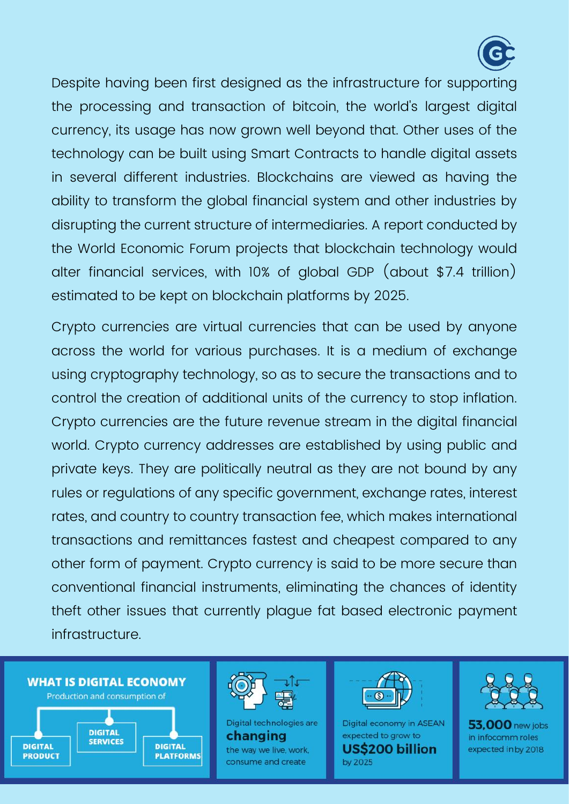

Despite having been first designed as the infrastructure for supporting the processing and transaction of bitcoin, the world's largest digital currency, its usage has now grown well beyond that. Other uses of the technology can be built using Smart Contracts to handle digital assets in several different industries. Blockchains are viewed as having the ability to transform the global financial system and other industries by disrupting the current structure of intermediaries. A report conducted by the World Economic Forum projects that blockchain technology would alter financial services, with 10% of global GDP (about \$7.4 trillion) estimated to be kept on blockchain platforms by 2025.

Crypto currencies are virtual currencies that can be used by anyone across the world for various purchases. It is a medium of exchange using cryptography technology, so as to secure the transactions and to control the creation of additional units of the currency to stop inflation. Crypto currencies are the future revenue stream in the digital financial world. Crypto currency addresses are established by using public and private keys. They are politically neutral as they are not bound by any rules or regulations of any specific government, exchange rates, interest rates, and country to country transaction fee, which makes international transactions and remittances fastest and cheapest compared to any other form of payment. Crypto currency is said to be more secure than conventional financial instruments, eliminating the chances of identity theft other issues that currently plague fat based electronic payment infrastructure.



**PLATFORMS** 

**PRODUCT** 



Digital technologies are changing the way we live, work, consume and create



Digital economy in ASEAN expected to grow to **US\$200 billion** by 2025



 $53.000$  new jobs in infocomm roles expected in by 2018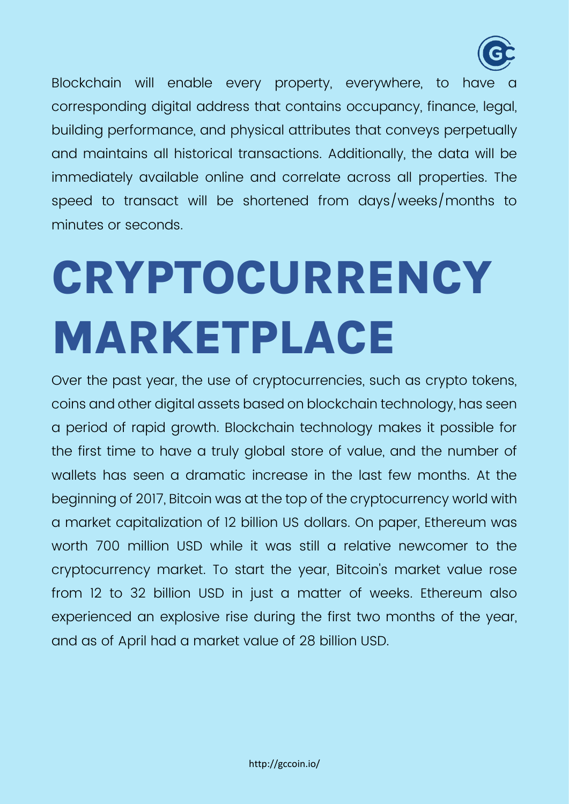

Blockchain will enable every property, everywhere, to have corresponding digital address that contains occupancy, finance, legal, building performance, and physical attributes that conveys perpetually and maintains all historical transactions. Additionally, the data will be immediately available online and correlate across all properties. The speed to transact will be shortened from days/weeks/months to minutes or seconds.

## <span id="page-6-0"></span>**CRYPTOCURRENCY MARKETPLACE**

Over the past year, the use of cryptocurrencies, such as crypto tokens, coins and other digital assets based on blockchain technology, has seen a period of rapid growth. Blockchain technology makes it possible for the first time to have a truly global store of value, and the number of wallets has seen a dramatic increase in the last few months. At the beginning of 2017, Bitcoin was at the top of the cryptocurrency world with a market capitalization of 12 billion US dollars. On paper, Ethereum was worth 700 million USD while it was still a relative newcomer to the cryptocurrency market. To start the year, Bitcoin's market value rose from 12 to 32 billion USD in just a matter of weeks. Ethereum also experienced an explosive rise during the first two months of the year, and as of April had a market value of 28 billion USD.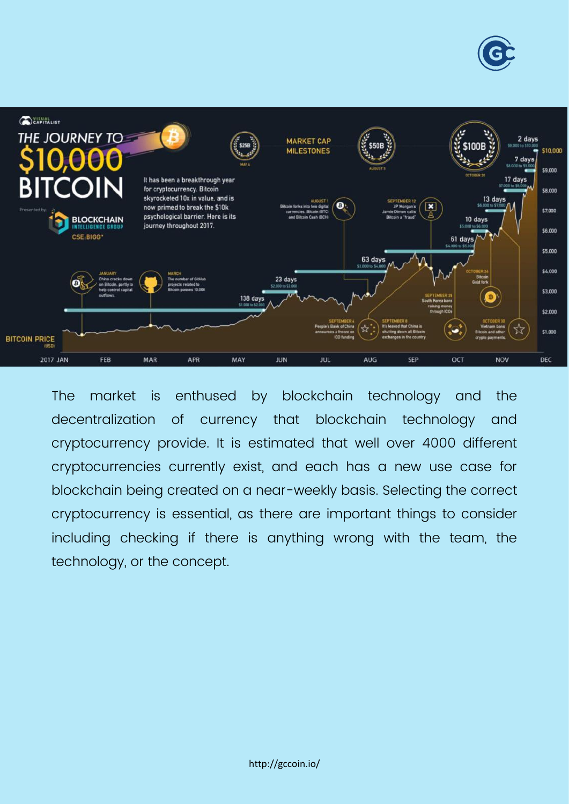



The market is enthused by blockchain technology and the decentralization of currency that blockchain technology and cryptocurrency provide. It is estimated that well over 4000 different cryptocurrencies currently exist, and each has a new use case for blockchain being created on a near-weekly basis. Selecting the correct cryptocurrency is essential, as there are important things to consider including checking if there is anything wrong with the team, the technology, or the concept.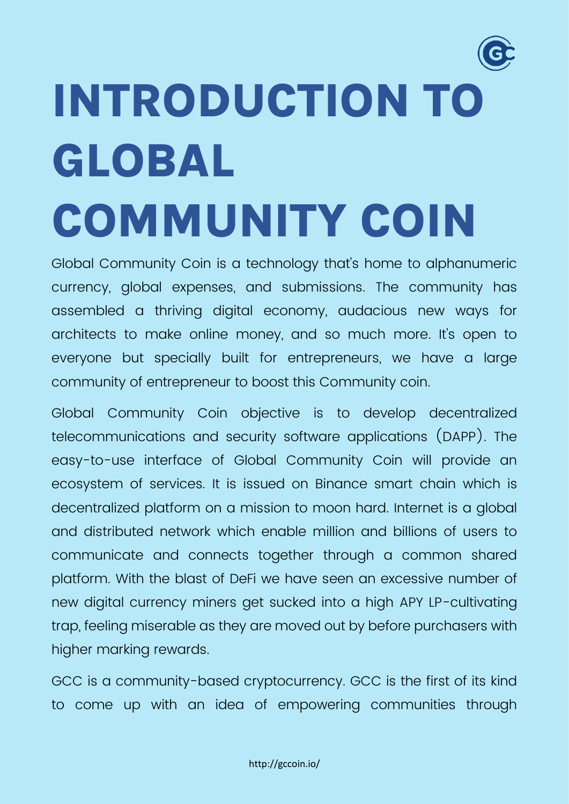# <span id="page-8-0"></span>**INTRODUCTION TO GLOBAL COMMUNITY COIN**

Global Community Coin is a technology that's home to alphanumeric currency, global expenses, and submissions. The community has assembled a thriving digital economy, audacious new ways for architects to make online money, and so much more. It's open to everyone but specially built for entrepreneurs, we have a large community of entrepreneur to boost this Community coin.

Global Community Coin objective is to develop decentralized telecommunications and security software applications (DAPP). The easy-to-use interface of Global Community Coin will provide an ecosystem of services. It is issued on Binance smart chain which is decentralized platform on a mission to moon hard. Internet is a global and distributed network which enable million and billions of users to communicate and connects together through a common shared platform. With the blast of DeFi we have seen an excessive number of new digital currency miners get sucked into a high APY LP-cultivating trap, feeling miserable as they are moved out by before purchasers with higher marking rewards.

GCC is a community-based cryptocurrency. GCC is the first of its kind to come up with an idea of empowering communities through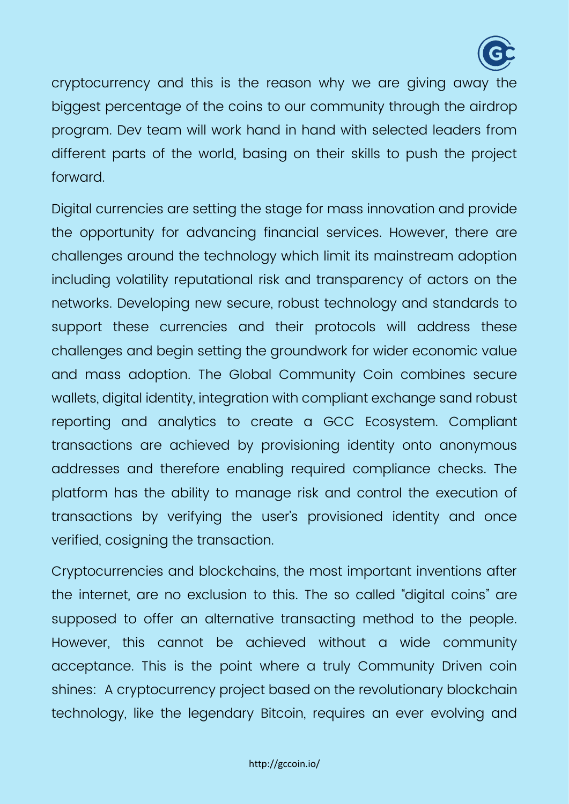

cryptocurrency and this is the reason why we are giving away the biggest percentage of the coins to our community through the airdrop program. Dev team will work hand in hand with selected leaders from different parts of the world, basing on their skills to push the project forward.

Digital currencies are setting the stage for mass innovation and provide the opportunity for advancing financial services. However, there are challenges around the technology which limit its mainstream adoption including volatility reputational risk and transparency of actors on the networks. Developing new secure, robust technology and standards to support these currencies and their protocols will address these challenges and begin setting the groundwork for wider economic value and mass adoption. The Global Community Coin combines secure wallets, digital identity, integration with compliant exchange sand robust reporting and analytics to create a GCC Ecosystem. Compliant transactions are achieved by provisioning identity onto anonymous addresses and therefore enabling required compliance checks. The platform has the ability to manage risk and control the execution of transactions by verifying the user's provisioned identity and once verified, cosigning the transaction.

Cryptocurrencies and blockchains, the most important inventions after the internet, are no exclusion to this. The so called "digital coins" are supposed to offer an alternative transacting method to the people. However, this cannot be achieved without a wide community acceptance. This is the point where a truly Community Driven coin shines: A cryptocurrency project based on the revolutionary blockchain technology, like the legendary Bitcoin, requires an ever evolving and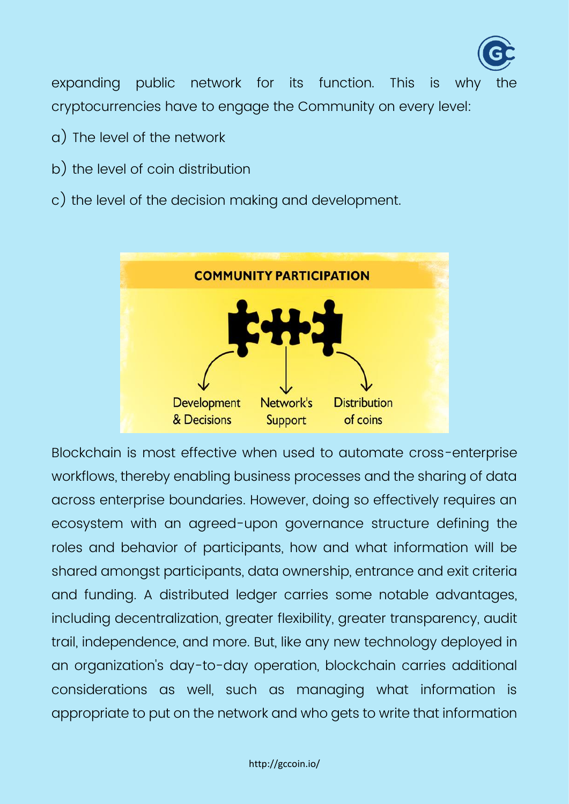

expanding public network for its function. This is why cryptocurrencies have to engage the Community on every level:

- a) The level of the network
- b) the level of coin distribution
- c) the level of the decision making and development.



Blockchain is most effective when used to automate cross-enterprise workflows, thereby enabling business processes and the sharing of data across enterprise boundaries. However, doing so effectively requires an ecosystem with an agreed-upon governance structure defining the roles and behavior of participants, how and what information will be shared amongst participants, data ownership, entrance and exit criteria and funding. A distributed ledger carries some notable advantages, including decentralization, greater flexibility, greater transparency, audit trail, independence, and more. But, like any new technology deployed in an organization's day-to-day operation, blockchain carries additional considerations as well, such as managing what information is appropriate to put on the network and who gets to write that information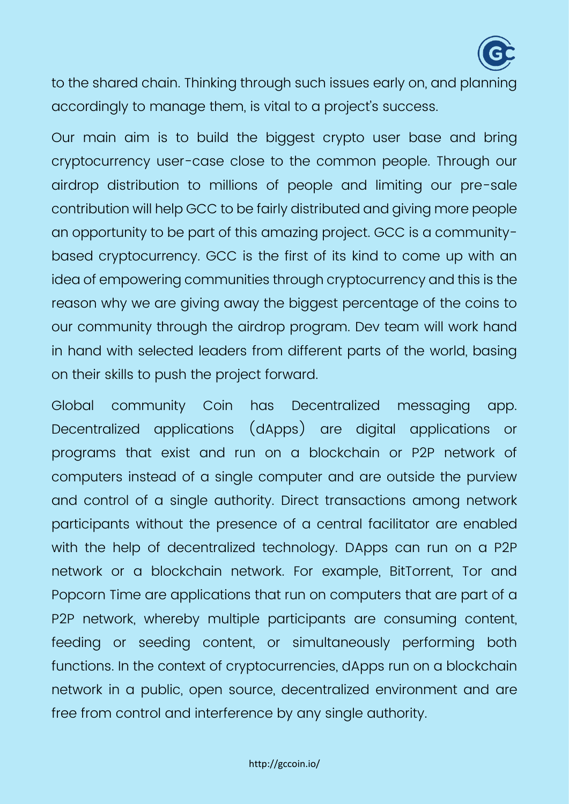

to the shared chain. Thinking through such issues early on, and planning accordingly to manage them, is vital to a project's success.

Our main aim is to build the biggest crypto user base and bring cryptocurrency user-case close to the common people. Through our airdrop distribution to millions of people and limiting our pre-sale contribution will help GCC to be fairly distributed and giving more people an opportunity to be part of this amazing project. GCC is a communitybased cryptocurrency. GCC is the first of its kind to come up with an idea of empowering communities through cryptocurrency and this is the reason why we are giving away the biggest percentage of the coins to our community through the airdrop program. Dev team will work hand in hand with selected leaders from different parts of the world, basing on their skills to push the project forward.

Global community Coin has Decentralized messaging app. Decentralized applications (dApps) are digital applications or programs that exist and run on a blockchain or P2P network of computers instead of a single computer and are outside the purview and control of a single authority. Direct transactions among network participants without the presence of a central facilitator are enabled with the help of decentralized technology. DApps can run on a P2P network or a blockchain network. For example, BitTorrent, Tor and Popcorn Time are applications that run on computers that are part of a P2P network, whereby multiple participants are consuming content, feeding or seeding content, or simultaneously performing both functions. In the context of cryptocurrencies, dApps run on a blockchain network in a public, open source, decentralized environment and are free from control and interference by any single authority.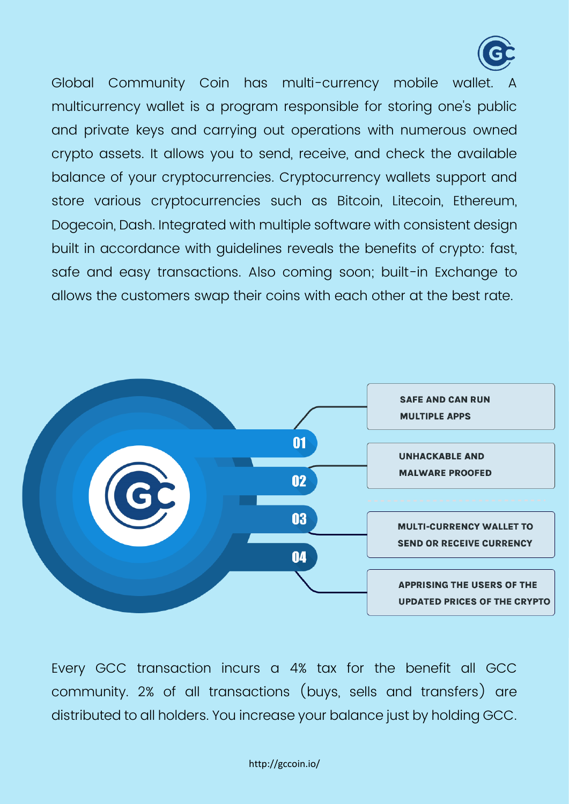

Global Community Coin has multi-currency mobile wallet. multicurrency wallet is a program responsible for storing one's public and private keys and carrying out operations with numerous owned crypto assets. It allows you to send, receive, and check the available balance of your cryptocurrencies. Cryptocurrency wallets support and store various cryptocurrencies such as Bitcoin, Litecoin, Ethereum, Dogecoin, Dash. Integrated with multiple software with consistent design built in accordance with guidelines reveals the benefits of crypto: fast, safe and easy transactions. Also coming soon; built-in Exchange to allows the customers swap their coins with each other at the best rate.



Every GCC transaction incurs a 4% tax for the benefit all GCC community. 2% of all transactions (buys, sells and transfers) are distributed to all holders. You increase your balance just by holding GCC.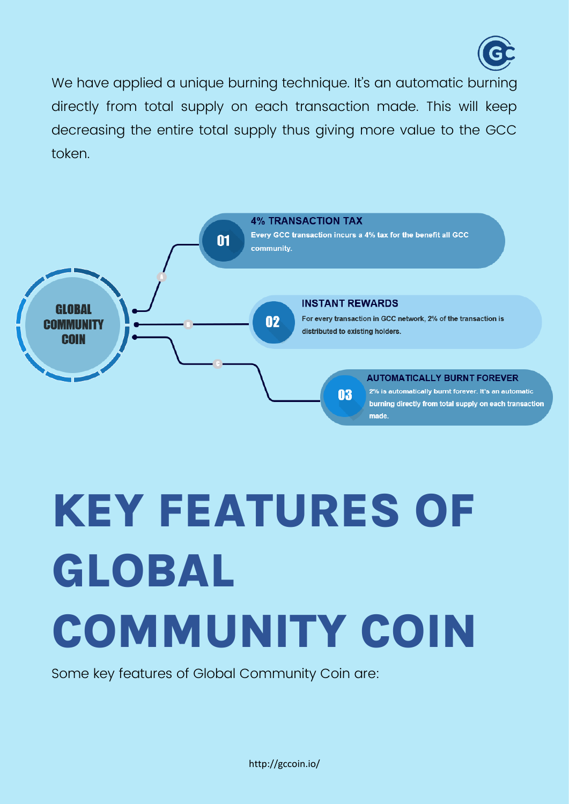

We have applied a unique burning technique. It's an automatic burning directly from total supply on each transaction made. This will keep decreasing the entire total supply thus giving more value to the GCC token.



## <span id="page-13-0"></span>**KEY FEATURES OF GLOBAL COMMUNITY COIN**

Some key features of Global Community Coin are: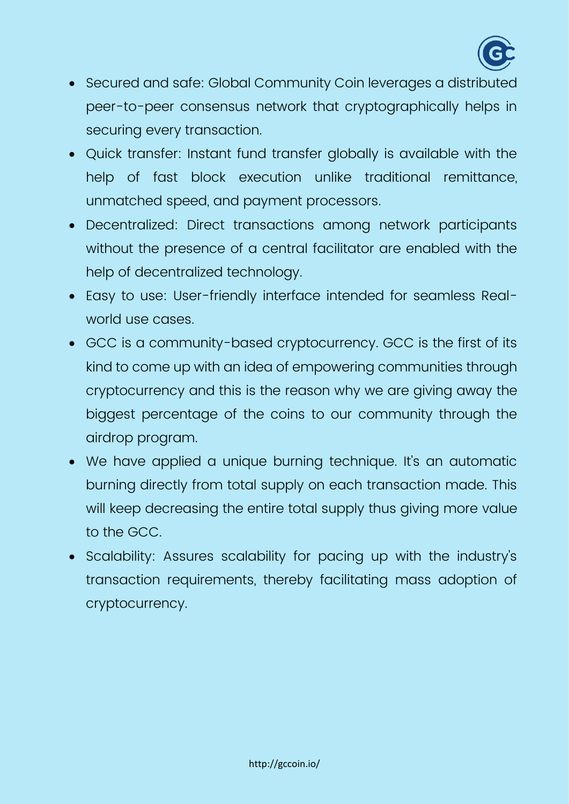

- Secured and safe: Global Community Coin leverages a distributed peer-to-peer consensus network that cryptographically helps in securing every transaction.
- Quick transfer: Instant fund transfer globally is available with the help of fast block execution unlike traditional remittance, unmatched speed, and payment processors.
- Decentralized: Direct transactions among network participants without the presence of a central facilitator are enabled with the help of decentralized technology.
- Easy to use: User-friendly interface intended for seamless Realworld use cases.
- GCC is a community-based cryptocurrency. GCC is the first of its kind to come up with an idea of empowering communities through cryptocurrency and this is the reason why we are giving away the biggest percentage of the coins to our community through the airdrop program.
- We have applied a unique burning technique. It's an automatic burning directly from total supply on each transaction made. This will keep decreasing the entire total supply thus giving more value to the GCC.
- Scalability: Assures scalability for pacing up with the industry's transaction requirements, thereby facilitating mass adoption of cryptocurrency.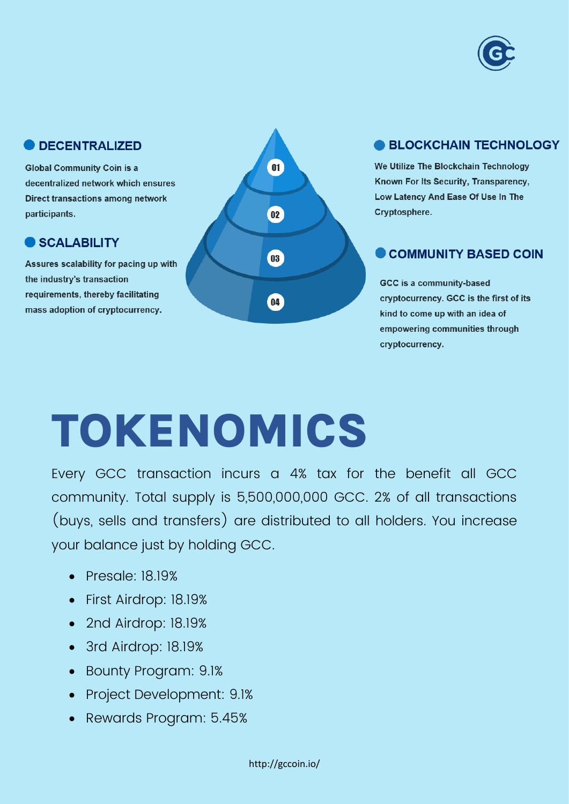

#### **ODECENTRALIZED**

**Global Community Coin is a** decentralized network which ensures **Direct transactions among network** participants.

#### **SCALABILITY**

Assures scalability for pacing up with the industry's transaction requirements, thereby facilitating mass adoption of cryptocurrency.



#### **BLOCKCHAIN TECHNOLOGY**

We Utilize The Blockchain Technology Known For Its Security, Transparency, Low Latency And Ease Of Use In The Cryptosphere.

#### COMMUNITY BASED COIN

GCC is a community-based cryptocurrency. GCC is the first of its kind to come up with an idea of empowering communities through cryptocurrency.

## <span id="page-15-0"></span>**TOKENOMICS**

Every GCC transaction incurs a 4% tax for the benefit all GCC community. Total supply is 5,500,000,000 GCC. 2% of all transactions (buys, sells and transfers) are distributed to all holders. You increase your balance just by holding GCC.

- Presale: 18.19%
- First Airdrop: 18.19%
- 2nd Airdrop: 18.19%
- 3rd Airdrop: 18.19%
- Bounty Program: 9.1%
- Project Development: 9.1%
- Rewards Program: 5.45%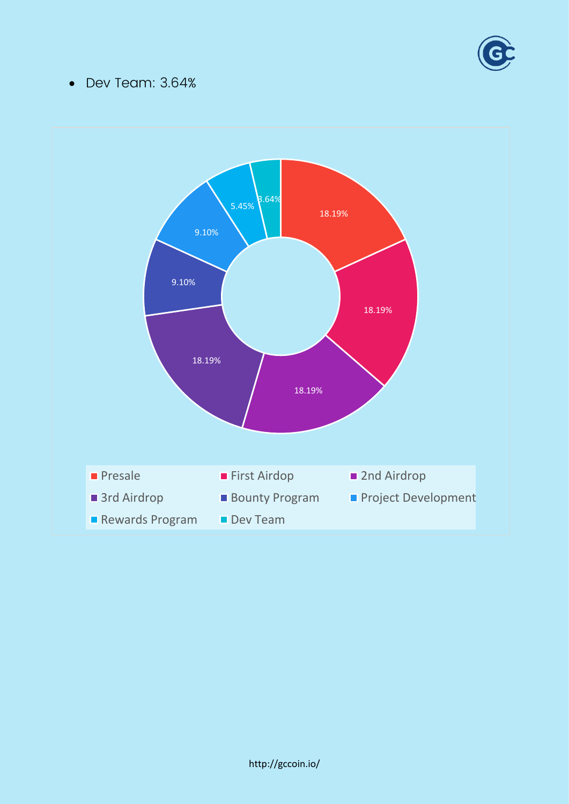

#### • Dev Team: 3.64%

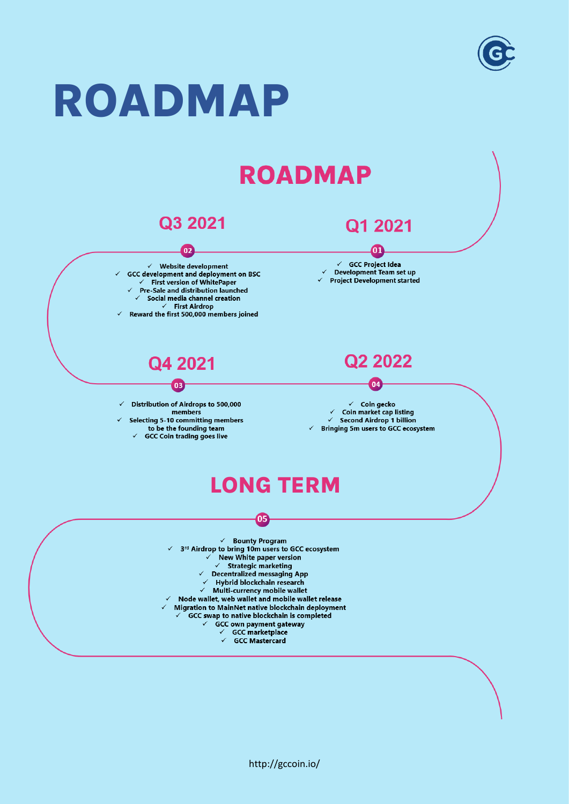

#### <span id="page-17-0"></span>**ROADMAP ROADMAP** Q3 2021 Q1 2021  $02$ **01**  $\checkmark$  Website development  $\checkmark$  GCC Project Idea ← GCC development and deployment on BSC<br>← First version of WhitePaper Development Team set up ← Project Development started Pre-Sale and distribution launched Social media channel creation **First Airdrop** Reward the first 500,000 members joined Q<sub>2</sub> 2022 Q4 2021  $04$  $03$ Distribution of Airdrops to 500,000  $\checkmark$  Coin gecko members  $\checkmark$  Coin market cap listing **Selecting 5-10 committing members**  $\checkmark$  Second Airdrop 1 billion to be the founding team  $\checkmark$  Bringing 5m users to GCC ecosystem **GCC Coin trading goes live LONG TERM**Ō5  $\checkmark$  Bounty Program  $\checkmark$  3<sup>rd</sup> Airdrop to bring 10m users to GCC ecosystem New White paper version  $\checkmark$  Strategic marketing Decentralized messaging App Hybrid blockchain research Multi-currency mobile wallet Node wallet, web wallet and mobile wallet release Migration to MainNet native blockchain deployment GCC swap to native blockchain is completed  $\checkmark$ **GCC own payment gateway**  $\checkmark$ GCC marketplace  $\checkmark$  GCC Mastercard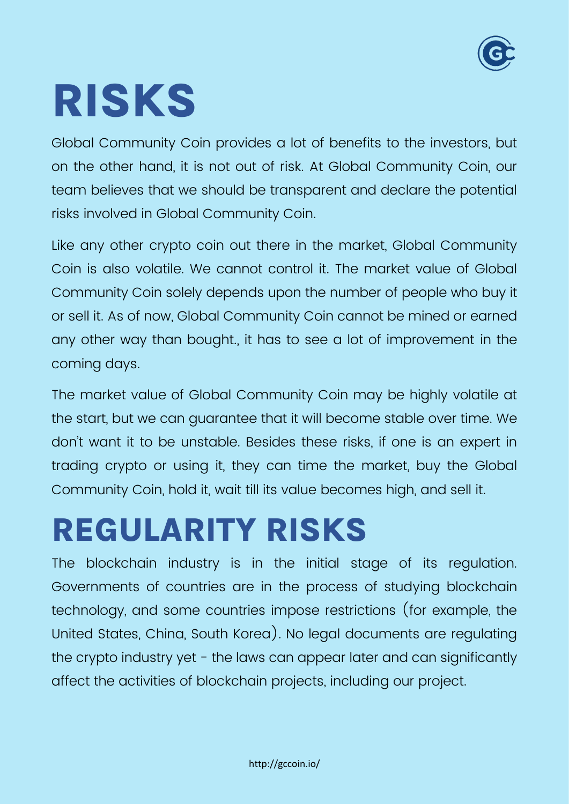

## <span id="page-18-0"></span>**RISKS**

Global Community Coin provides a lot of benefits to the investors, but on the other hand, it is not out of risk. At Global Community Coin, our team believes that we should be transparent and declare the potential risks involved in Global Community Coin.

Like any other crypto coin out there in the market, Global Community Coin is also volatile. We cannot control it. The market value of Global Community Coin solely depends upon the number of people who buy it or sell it. As of now, Global Community Coin cannot be mined or earned any other way than bought., it has to see a lot of improvement in the coming days.

The market value of Global Community Coin may be highly volatile at the start, but we can guarantee that it will become stable over time. We don't want it to be unstable. Besides these risks, if one is an expert in trading crypto or using it, they can time the market, buy the Global Community Coin, hold it, wait till its value becomes high, and sell it.

### <span id="page-18-1"></span>**REGULARITY RISKS**

The blockchain industry is in the initial stage of its regulation. Governments of countries are in the process of studying blockchain technology, and some countries impose restrictions (for example, the United States, China, South Korea). No legal documents are regulating the crypto industry yet - the laws can appear later and can significantly affect the activities of blockchain projects, including our project.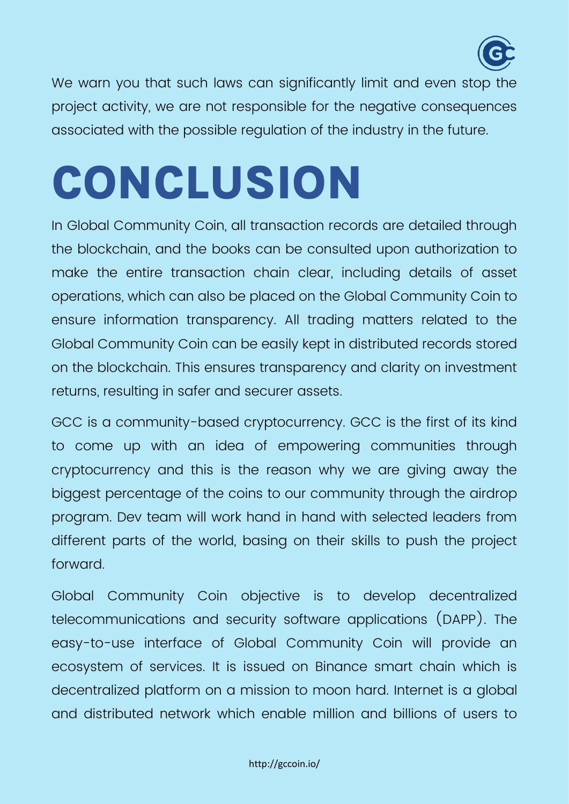

We warn you that such laws can significantly limit and even stop the project activity, we are not responsible for the negative consequences associated with the possible regulation of the industry in the future.

## <span id="page-19-0"></span>**CONCLUSION**

In Global Community Coin, all transaction records are detailed through the blockchain, and the books can be consulted upon authorization to make the entire transaction chain clear, including details of asset operations, which can also be placed on the Global Community Coin to ensure information transparency. All trading matters related to the Global Community Coin can be easily kept in distributed records stored on the blockchain. This ensures transparency and clarity on investment returns, resulting in safer and securer assets.

GCC is a community-based cryptocurrency. GCC is the first of its kind to come up with an idea of empowering communities through cryptocurrency and this is the reason why we are giving away the biggest percentage of the coins to our community through the airdrop program. Dev team will work hand in hand with selected leaders from different parts of the world, basing on their skills to push the project forward.

Global Community Coin objective is to develop decentralized telecommunications and security software applications (DAPP). The easy-to-use interface of Global Community Coin will provide an ecosystem of services. It is issued on Binance smart chain which is decentralized platform on a mission to moon hard. Internet is a global and distributed network which enable million and billions of users to